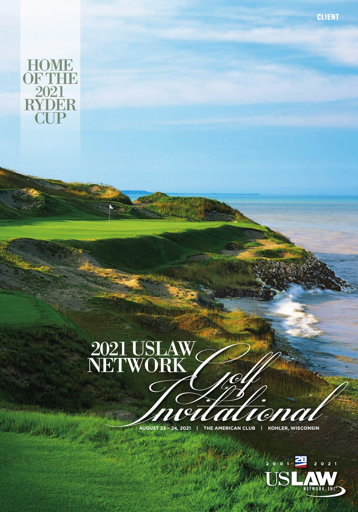

# 2021 USLAW NETWORK **GOLF INVITAL COLLEGE IN THE AMERICAN CLUB**

**AUGUST 23 – 24, 2021 | THE AMERICAN CLUB | KOHLER, WISCONSIN**



CLIENT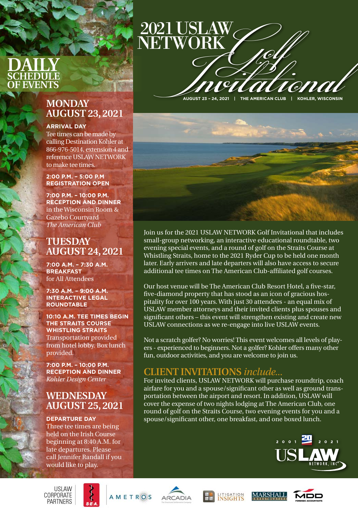## **DAILY SCHEDULE OF EVENTS**

## **MONDAY AUGUST 23, 2021**

#### **ARRIVAL DAY**

Tee times can be made by calling Destination Kohler at 866-976-5014, extension 4 and reference USLAW NETWORK to make tee times.

#### **2:00 P.M. – 5:00 P.M REGISTRATION OPEN**

**7:00 P.M. – 10:00 P.M. RECEPTION AND DINNER** in the Wisconsin Room & Gazebo Courtyard *The American Club*

#### **TUESDAY AUGUST 24, 2021**

**7:00 A.M. – 7:30 A.M. BREAKFAST** for All Attendees

**7:30 A.M. – 9:00 A.M. INTERACTIVE LEGAL ROUNDTABLE**

**10:10 A.M. TEE TIMES BEGIN THE STRAITS COURSE WHISTLING STRAITS** Transportation provided from hotel lobby. Box lunch provided.

**7:00 P.M. – 10:00 P.M. RECEPTION AND DINNER** *Kohler Design Center*

## **WEDNESDAY AUGUST 25, 2021**

#### **DEPARTURE DAY**  Three tee times are being

held on the Irish Course beginning at 8:40 A.M. for late departures. Please call Jennifer Randall if you would like to play.

**AUGUST 23 – 24, 2021 | THE AMERICAN CLUB | KOHLER, WISCONSIN** *Golf Invitational* 

2021 USLAW

NETWORK



Join us for the 2021 USLAW NETWORK Golf Invitational that includes small-group networking, an interactive educational roundtable, two evening special events, and a round of golf on the Straits Course at Whistling Straits, home to the 2021 Ryder Cup to be held one month later. Early arrivers and late departers will also have access to secure additional tee times on The American Club-affiliated golf courses.

Our host venue will be The American Club Resort Hotel, a five-star, five-diamond property that has stood as an icon of gracious hospitality for over 100 years. With just 30 attendees - an equal mix of USLAW member attorneys and their invited clients plus spouses and significant others – this event will strengthen existing and create new USLAW connections as we re-engage into live USLAW events.

Not a scratch golfer? No worries! This event welcomes all levels of players - experienced to beginners. Not a golfer? Kohler offers many other fun, outdoor activities, and you are welcome to join us.

### **CLIENT INVITATIONS** *include...*

For invited clients, USLAW NETWORK will purchase roundtrip, coach airfare for you and a spouse/significant other as well as ground transportation between the airport and resort. In addition, USLAW will cover the expense of two nights lodging at The American Club, one round of golf on the Straits Course, two evening events for you and a spouse/significant other, one breakfast, and one boxed lunch.



**USLAW** CORPORATE **PARTNERS** 









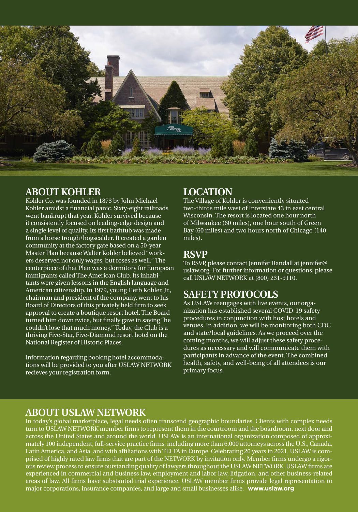

#### **ABOUT KOHLER**

Kohler Co. was founded in 1873 by John Michael Kohler amidst a financial panic. Sixty-eight railroads went bankrupt that year. Kohler survived because it consistently focused on leading-edge design and a single level of quality. Its first bathtub was made from a horse trough/hogscalder. It created a garden community at the factory gate based on a 50-year Master Plan because Walter Kohler believed "workers deserved not only wages, but roses as well." The centerpiece of that Plan was a dormitory for European immigrants called The American Club. Its inhabitants were given lessons in the English language and American citizenship. In 1979, young Herb Kohler, Jr., chairman and president of the company, went to his Board of Directors of this privately held firm to seek approval to create a boutique resort hotel. The Board turned him down twice, but finally gave in saying "he couldn't lose that much money." Today, the Club is a thriving Five-Star, Five-Diamond resort hotel on the National Register of Historic Places.

Information regarding booking hotel accommodations will be provided to you after USLAW NETWORK recieves your registration form.

### **LOCATION**

The Village of Kohler is conveniently situated two-thirds mile west of Interstate 43 in east central Wisconsin. The resort is located one hour north of Milwaukee (60 miles), one hour south of Green Bay (60 miles) and two hours north of Chicago (140 miles).

#### **RSVP**

To RSVP, please contact Jennifer Randall at [jennifer@](mailto:jennifer@uslaw.org) [uslaw.org.](mailto:jennifer@uslaw.org) For further information or questions, please call USLAW NETWORK at (800) 231-9110.

## **SAFETY PROTOCOLS**

As USLAW reengages with live events, our organization has established several COVID-19 safety procedures in conjunction with host hotels and venues. In addition, we will be monitoring both CDC and state/local guidelines. As we proceed over the coming months, we will adjust these safety procedures as necessary and will communicate them with participants in advance of the event. The combined health, safety, and well-being of all attendees is our primary focus.

#### **ABOUT USLAW NETWORK**

In today's global marketplace, legal needs often transcend geographic boundaries. Clients with complex needs turn to USLAW NETWORK member firms to represent them in the courtroom and the boardroom, next door and across the United States and around the world. USLAW is an international organization composed of approximately 100 independent, full-service practice firms, including more than 6,000 attorneys across the U.S., Canada, Latin America, and Asia, and with affiliations with TELFA in Europe. Celebrating 20 years in 2021, USLAW is comprised of highly rated law firms that are part of the NETWORK by invitation only. Member firms undergo a rigorous review process to ensure outstanding quality of lawyers throughout the USLAW NETWORK. USLAW firms are experienced in commercial and business law, employment and labor law, litigation, and other business-related areas of law. All firms have substantial trial experience. USLAW member firms provide legal representation to major corporations, insurance companies, and large and small businesses alike. **[www.uslaw.org](http://www.uslaw.org)**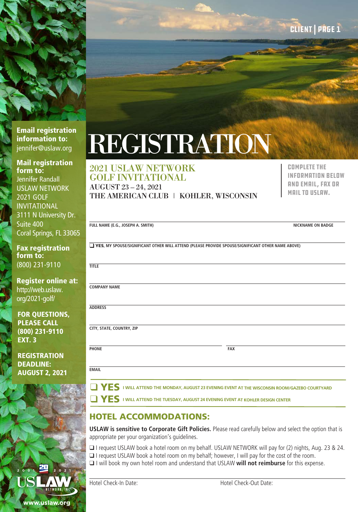

#### Email registration information to: [jennifer@uslaw.org](mailto:jennifer%40uslaw.org%0D?subject=)

Mail registration form to: Jennifer Randall USLAW NETWORK 2021 GOLF INVITATIONAL 3111 N University Dr. Suite 400 Coral Springs,

**Fax registra** form to: (800) 231-9110

**Register onl** http://web.usla [org/2021-golf/](http://web.uslaw.org/2021-golf/
)

**FOR QUESTIC** PLEASE CALL  $(800)$  231-91 **EXT. 3** 

**REGISTRATIO** DEADLINE: **AUGUST 2, 2** 

# REGISTRATION

#### 2021 USLAW NETWORK GOLF INVITATIONAL

AUGUST 23 – 24, 2021 THE AMERICAN CLUB | KOHLER, WISCONSIN Complete the information below and email, fax or mail to USLAW.

|               | FULL NAME (E.G., JOSEPH A. SMITH)                                                                                                                                                            | <b>NICKNAME ON BADGE</b> |  |
|---------------|----------------------------------------------------------------------------------------------------------------------------------------------------------------------------------------------|--------------------------|--|
| FL33065       |                                                                                                                                                                                              |                          |  |
| tion          | YES, MY SPOUSE/SIGNIFICANT OTHER WILL ATTEND (PLEASE PROVIDE SPOUSE/SIGNIFICANT OTHER NAME ABOVE)                                                                                            |                          |  |
| 0             | <b>TITLE</b>                                                                                                                                                                                 |                          |  |
| ine at:<br>W. | <b>COMPANY NAME</b>                                                                                                                                                                          |                          |  |
| MS,           | <b>ADDRESS</b>                                                                                                                                                                               |                          |  |
| 10            | CITY, STATE, COUNTRY, ZIP                                                                                                                                                                    |                          |  |
| <b>N</b>      | <b>PHONE</b><br><b>FAX</b>                                                                                                                                                                   |                          |  |
| 021           | <b>EMAIL</b>                                                                                                                                                                                 |                          |  |
|               | $\Box$ YES 1 WILL ATTEND THE MONDAY, AUGUST 23 EVENING EVENT AT THE WISCONSIN ROOM/GAZEBO COURTYARD<br>$\Box$ YES I WILL ATTEND THE TUESDAY, AUGUST 24 EVENING EVENT AT KOHLER DESIGN CENTER |                          |  |
|               |                                                                                                                                                                                              |                          |  |

### HOTEL ACCOMMODATIONS:

**USLAW is sensitive to Corporate Gift Policies.** Please read carefully below and select the option that is appropriate per your organization's guidelines.

- □ I request USLAW book a hotel room on my behalf. USLAW NETWORK will pay for (2) nights, Aug. 23 & 24.
- $\Box$  I request USLAW book a hotel room on my behalf; however, I will pay for the cost of the room.
- $\Box$  I will book my own hotel room and understand that USLAW will not reimburse for this expense.